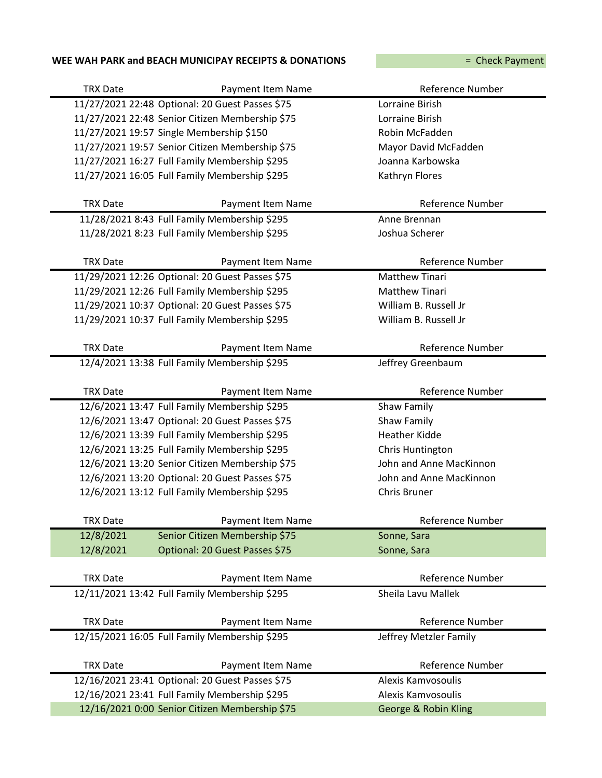## WEE WAH PARK and BEACH MUNICIPAY RECEIPTS & DONATIONS **Example 20 and 20 and 20 and 20 and 20 and 20 and 20 and 20 and 20 and 20 and 20 and 20 and 20 and 20 and 20 and 20 and 20 and 20 and 20 and 20 and 20 and 20 and 20 an**

| <b>TRX Date</b> | Payment Item Name                               | Reference Number          |
|-----------------|-------------------------------------------------|---------------------------|
|                 | 11/27/2021 22:48 Optional: 20 Guest Passes \$75 | Lorraine Birish           |
|                 | 11/27/2021 22:48 Senior Citizen Membership \$75 | Lorraine Birish           |
|                 | 11/27/2021 19:57 Single Membership \$150        | Robin McFadden            |
|                 | 11/27/2021 19:57 Senior Citizen Membership \$75 | Mayor David McFadden      |
|                 | 11/27/2021 16:27 Full Family Membership \$295   | Joanna Karbowska          |
|                 | 11/27/2021 16:05 Full Family Membership \$295   | Kathryn Flores            |
|                 |                                                 |                           |
| <b>TRX Date</b> | Payment Item Name                               | Reference Number          |
|                 | 11/28/2021 8:43 Full Family Membership \$295    | Anne Brennan              |
|                 | 11/28/2021 8:23 Full Family Membership \$295    | Joshua Scherer            |
|                 |                                                 |                           |
| <b>TRX Date</b> | Payment Item Name                               | Reference Number          |
|                 | 11/29/2021 12:26 Optional: 20 Guest Passes \$75 | <b>Matthew Tinari</b>     |
|                 | 11/29/2021 12:26 Full Family Membership \$295   | <b>Matthew Tinari</b>     |
|                 | 11/29/2021 10:37 Optional: 20 Guest Passes \$75 | William B. Russell Jr     |
|                 | 11/29/2021 10:37 Full Family Membership \$295   | William B. Russell Jr     |
|                 |                                                 |                           |
| <b>TRX Date</b> | Payment Item Name                               | Reference Number          |
|                 | 12/4/2021 13:38 Full Family Membership \$295    | Jeffrey Greenbaum         |
|                 |                                                 |                           |
| <b>TRX Date</b> | Payment Item Name                               | Reference Number          |
|                 | 12/6/2021 13:47 Full Family Membership \$295    | Shaw Family               |
|                 | 12/6/2021 13:47 Optional: 20 Guest Passes \$75  | Shaw Family               |
|                 | 12/6/2021 13:39 Full Family Membership \$295    | <b>Heather Kidde</b>      |
|                 | 12/6/2021 13:25 Full Family Membership \$295    | Chris Huntington          |
|                 | 12/6/2021 13:20 Senior Citizen Membership \$75  | John and Anne MacKinnon   |
|                 | 12/6/2021 13:20 Optional: 20 Guest Passes \$75  | John and Anne MacKinnon   |
|                 | 12/6/2021 13:12 Full Family Membership \$295    | Chris Bruner              |
|                 |                                                 |                           |
| <b>TRX Date</b> | Payment Item Name                               | <b>Reference Number</b>   |
| 12/8/2021       | Senior Citizen Membership \$75                  | Sonne, Sara               |
| 12/8/2021       | Optional: 20 Guest Passes \$75                  | Sonne, Sara               |
|                 |                                                 |                           |
| <b>TRX Date</b> | Payment Item Name                               | Reference Number          |
|                 | 12/11/2021 13:42 Full Family Membership \$295   | Sheila Lavu Mallek        |
|                 |                                                 |                           |
| <b>TRX Date</b> | Payment Item Name                               | Reference Number          |
|                 | 12/15/2021 16:05 Full Family Membership \$295   | Jeffrey Metzler Family    |
|                 |                                                 |                           |
| <b>TRX Date</b> | Payment Item Name                               | Reference Number          |
|                 | 12/16/2021 23:41 Optional: 20 Guest Passes \$75 | <b>Alexis Kamvosoulis</b> |
|                 | 12/16/2021 23:41 Full Family Membership \$295   | <b>Alexis Kamvosoulis</b> |
|                 | 12/16/2021 0:00 Senior Citizen Membership \$75  | George & Robin Kling      |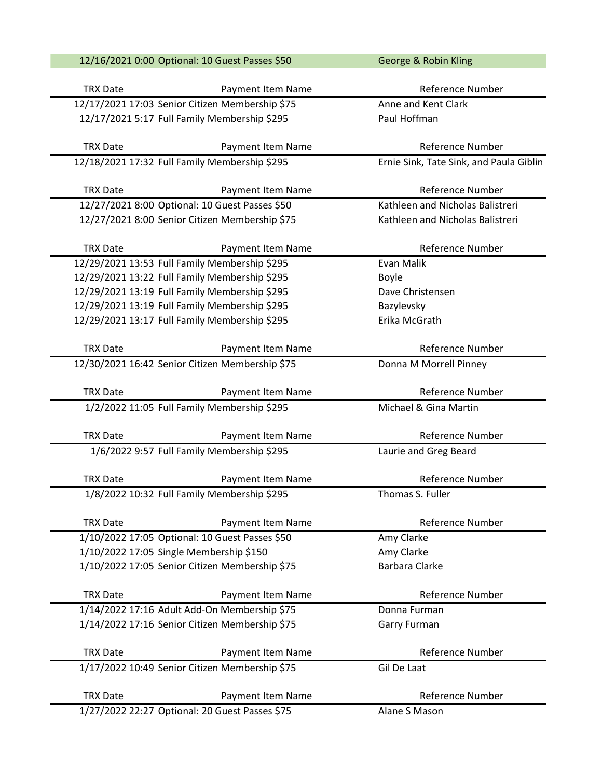| <b>TRX Date</b><br>Reference Number<br>Payment Item Name<br>12/17/2021 17:03 Senior Citizen Membership \$75<br>Anne and Kent Clark<br>12/17/2021 5:17 Full Family Membership \$295<br>Paul Hoffman<br>Reference Number<br><b>TRX Date</b><br>Payment Item Name<br>12/18/2021 17:32 Full Family Membership \$295<br>Ernie Sink, Tate Sink, and Paula Giblin<br><b>Reference Number</b><br><b>TRX Date</b><br>Payment Item Name<br>12/27/2021 8:00 Optional: 10 Guest Passes \$50<br>Kathleen and Nicholas Balistreri<br>12/27/2021 8:00 Senior Citizen Membership \$75<br>Kathleen and Nicholas Balistreri<br><b>TRX Date</b><br>Reference Number<br>Payment Item Name<br>12/29/2021 13:53 Full Family Membership \$295<br>Evan Malik<br>12/29/2021 13:22 Full Family Membership \$295<br><b>Boyle</b><br>12/29/2021 13:19 Full Family Membership \$295<br>Dave Christensen<br>12/29/2021 13:19 Full Family Membership \$295<br>Bazylevsky<br>12/29/2021 13:17 Full Family Membership \$295<br>Erika McGrath<br><b>Reference Number</b><br><b>TRX Date</b><br>Payment Item Name<br>12/30/2021 16:42 Senior Citizen Membership \$75<br>Donna M Morrell Pinney<br><b>TRX Date</b><br>Reference Number<br>Payment Item Name<br>1/2/2022 11:05 Full Family Membership \$295<br>Michael & Gina Martin<br><b>Reference Number</b><br><b>TRX Date</b><br>Payment Item Name<br>1/6/2022 9:57 Full Family Membership \$295<br>Laurie and Greg Beard<br><b>TRX Date</b><br><b>Reference Number</b><br><b>Payment Item Name</b><br>1/8/2022 10:32 Full Family Membership \$295<br>Thomas S. Fuller<br><b>TRX Date</b><br>Reference Number<br>Payment Item Name<br>1/10/2022 17:05 Optional: 10 Guest Passes \$50<br>Amy Clarke<br>1/10/2022 17:05 Single Membership \$150<br>Amy Clarke<br>1/10/2022 17:05 Senior Citizen Membership \$75<br>Barbara Clarke<br><b>TRX Date</b><br><b>Payment Item Name</b><br>Reference Number<br>1/14/2022 17:16 Adult Add-On Membership \$75<br>Donna Furman<br>1/14/2022 17:16 Senior Citizen Membership \$75<br>Garry Furman<br>Reference Number<br><b>TRX Date</b><br>Payment Item Name<br>1/17/2022 10:49 Senior Citizen Membership \$75<br>Gil De Laat<br><b>TRX Date</b><br>Reference Number<br>Payment Item Name<br>1/27/2022 22:27 Optional: 20 Guest Passes \$75<br>Alane S Mason | 12/16/2021 0:00 Optional: 10 Guest Passes \$50 | George & Robin Kling |
|------------------------------------------------------------------------------------------------------------------------------------------------------------------------------------------------------------------------------------------------------------------------------------------------------------------------------------------------------------------------------------------------------------------------------------------------------------------------------------------------------------------------------------------------------------------------------------------------------------------------------------------------------------------------------------------------------------------------------------------------------------------------------------------------------------------------------------------------------------------------------------------------------------------------------------------------------------------------------------------------------------------------------------------------------------------------------------------------------------------------------------------------------------------------------------------------------------------------------------------------------------------------------------------------------------------------------------------------------------------------------------------------------------------------------------------------------------------------------------------------------------------------------------------------------------------------------------------------------------------------------------------------------------------------------------------------------------------------------------------------------------------------------------------------------------------------------------------------------------------------------------------------------------------------------------------------------------------------------------------------------------------------------------------------------------------------------------------------------------------------------------------------------------------------------------------------------------------------------------------------------------------------------------------------------------------|------------------------------------------------|----------------------|
|                                                                                                                                                                                                                                                                                                                                                                                                                                                                                                                                                                                                                                                                                                                                                                                                                                                                                                                                                                                                                                                                                                                                                                                                                                                                                                                                                                                                                                                                                                                                                                                                                                                                                                                                                                                                                                                                                                                                                                                                                                                                                                                                                                                                                                                                                                                  |                                                |                      |
|                                                                                                                                                                                                                                                                                                                                                                                                                                                                                                                                                                                                                                                                                                                                                                                                                                                                                                                                                                                                                                                                                                                                                                                                                                                                                                                                                                                                                                                                                                                                                                                                                                                                                                                                                                                                                                                                                                                                                                                                                                                                                                                                                                                                                                                                                                                  |                                                |                      |
|                                                                                                                                                                                                                                                                                                                                                                                                                                                                                                                                                                                                                                                                                                                                                                                                                                                                                                                                                                                                                                                                                                                                                                                                                                                                                                                                                                                                                                                                                                                                                                                                                                                                                                                                                                                                                                                                                                                                                                                                                                                                                                                                                                                                                                                                                                                  |                                                |                      |
|                                                                                                                                                                                                                                                                                                                                                                                                                                                                                                                                                                                                                                                                                                                                                                                                                                                                                                                                                                                                                                                                                                                                                                                                                                                                                                                                                                                                                                                                                                                                                                                                                                                                                                                                                                                                                                                                                                                                                                                                                                                                                                                                                                                                                                                                                                                  |                                                |                      |
|                                                                                                                                                                                                                                                                                                                                                                                                                                                                                                                                                                                                                                                                                                                                                                                                                                                                                                                                                                                                                                                                                                                                                                                                                                                                                                                                                                                                                                                                                                                                                                                                                                                                                                                                                                                                                                                                                                                                                                                                                                                                                                                                                                                                                                                                                                                  |                                                |                      |
|                                                                                                                                                                                                                                                                                                                                                                                                                                                                                                                                                                                                                                                                                                                                                                                                                                                                                                                                                                                                                                                                                                                                                                                                                                                                                                                                                                                                                                                                                                                                                                                                                                                                                                                                                                                                                                                                                                                                                                                                                                                                                                                                                                                                                                                                                                                  |                                                |                      |
|                                                                                                                                                                                                                                                                                                                                                                                                                                                                                                                                                                                                                                                                                                                                                                                                                                                                                                                                                                                                                                                                                                                                                                                                                                                                                                                                                                                                                                                                                                                                                                                                                                                                                                                                                                                                                                                                                                                                                                                                                                                                                                                                                                                                                                                                                                                  |                                                |                      |
|                                                                                                                                                                                                                                                                                                                                                                                                                                                                                                                                                                                                                                                                                                                                                                                                                                                                                                                                                                                                                                                                                                                                                                                                                                                                                                                                                                                                                                                                                                                                                                                                                                                                                                                                                                                                                                                                                                                                                                                                                                                                                                                                                                                                                                                                                                                  |                                                |                      |
|                                                                                                                                                                                                                                                                                                                                                                                                                                                                                                                                                                                                                                                                                                                                                                                                                                                                                                                                                                                                                                                                                                                                                                                                                                                                                                                                                                                                                                                                                                                                                                                                                                                                                                                                                                                                                                                                                                                                                                                                                                                                                                                                                                                                                                                                                                                  |                                                |                      |
|                                                                                                                                                                                                                                                                                                                                                                                                                                                                                                                                                                                                                                                                                                                                                                                                                                                                                                                                                                                                                                                                                                                                                                                                                                                                                                                                                                                                                                                                                                                                                                                                                                                                                                                                                                                                                                                                                                                                                                                                                                                                                                                                                                                                                                                                                                                  |                                                |                      |
|                                                                                                                                                                                                                                                                                                                                                                                                                                                                                                                                                                                                                                                                                                                                                                                                                                                                                                                                                                                                                                                                                                                                                                                                                                                                                                                                                                                                                                                                                                                                                                                                                                                                                                                                                                                                                                                                                                                                                                                                                                                                                                                                                                                                                                                                                                                  |                                                |                      |
|                                                                                                                                                                                                                                                                                                                                                                                                                                                                                                                                                                                                                                                                                                                                                                                                                                                                                                                                                                                                                                                                                                                                                                                                                                                                                                                                                                                                                                                                                                                                                                                                                                                                                                                                                                                                                                                                                                                                                                                                                                                                                                                                                                                                                                                                                                                  |                                                |                      |
|                                                                                                                                                                                                                                                                                                                                                                                                                                                                                                                                                                                                                                                                                                                                                                                                                                                                                                                                                                                                                                                                                                                                                                                                                                                                                                                                                                                                                                                                                                                                                                                                                                                                                                                                                                                                                                                                                                                                                                                                                                                                                                                                                                                                                                                                                                                  |                                                |                      |
|                                                                                                                                                                                                                                                                                                                                                                                                                                                                                                                                                                                                                                                                                                                                                                                                                                                                                                                                                                                                                                                                                                                                                                                                                                                                                                                                                                                                                                                                                                                                                                                                                                                                                                                                                                                                                                                                                                                                                                                                                                                                                                                                                                                                                                                                                                                  |                                                |                      |
|                                                                                                                                                                                                                                                                                                                                                                                                                                                                                                                                                                                                                                                                                                                                                                                                                                                                                                                                                                                                                                                                                                                                                                                                                                                                                                                                                                                                                                                                                                                                                                                                                                                                                                                                                                                                                                                                                                                                                                                                                                                                                                                                                                                                                                                                                                                  |                                                |                      |
|                                                                                                                                                                                                                                                                                                                                                                                                                                                                                                                                                                                                                                                                                                                                                                                                                                                                                                                                                                                                                                                                                                                                                                                                                                                                                                                                                                                                                                                                                                                                                                                                                                                                                                                                                                                                                                                                                                                                                                                                                                                                                                                                                                                                                                                                                                                  |                                                |                      |
|                                                                                                                                                                                                                                                                                                                                                                                                                                                                                                                                                                                                                                                                                                                                                                                                                                                                                                                                                                                                                                                                                                                                                                                                                                                                                                                                                                                                                                                                                                                                                                                                                                                                                                                                                                                                                                                                                                                                                                                                                                                                                                                                                                                                                                                                                                                  |                                                |                      |
|                                                                                                                                                                                                                                                                                                                                                                                                                                                                                                                                                                                                                                                                                                                                                                                                                                                                                                                                                                                                                                                                                                                                                                                                                                                                                                                                                                                                                                                                                                                                                                                                                                                                                                                                                                                                                                                                                                                                                                                                                                                                                                                                                                                                                                                                                                                  |                                                |                      |
|                                                                                                                                                                                                                                                                                                                                                                                                                                                                                                                                                                                                                                                                                                                                                                                                                                                                                                                                                                                                                                                                                                                                                                                                                                                                                                                                                                                                                                                                                                                                                                                                                                                                                                                                                                                                                                                                                                                                                                                                                                                                                                                                                                                                                                                                                                                  |                                                |                      |
|                                                                                                                                                                                                                                                                                                                                                                                                                                                                                                                                                                                                                                                                                                                                                                                                                                                                                                                                                                                                                                                                                                                                                                                                                                                                                                                                                                                                                                                                                                                                                                                                                                                                                                                                                                                                                                                                                                                                                                                                                                                                                                                                                                                                                                                                                                                  |                                                |                      |
|                                                                                                                                                                                                                                                                                                                                                                                                                                                                                                                                                                                                                                                                                                                                                                                                                                                                                                                                                                                                                                                                                                                                                                                                                                                                                                                                                                                                                                                                                                                                                                                                                                                                                                                                                                                                                                                                                                                                                                                                                                                                                                                                                                                                                                                                                                                  |                                                |                      |
|                                                                                                                                                                                                                                                                                                                                                                                                                                                                                                                                                                                                                                                                                                                                                                                                                                                                                                                                                                                                                                                                                                                                                                                                                                                                                                                                                                                                                                                                                                                                                                                                                                                                                                                                                                                                                                                                                                                                                                                                                                                                                                                                                                                                                                                                                                                  |                                                |                      |
|                                                                                                                                                                                                                                                                                                                                                                                                                                                                                                                                                                                                                                                                                                                                                                                                                                                                                                                                                                                                                                                                                                                                                                                                                                                                                                                                                                                                                                                                                                                                                                                                                                                                                                                                                                                                                                                                                                                                                                                                                                                                                                                                                                                                                                                                                                                  |                                                |                      |
|                                                                                                                                                                                                                                                                                                                                                                                                                                                                                                                                                                                                                                                                                                                                                                                                                                                                                                                                                                                                                                                                                                                                                                                                                                                                                                                                                                                                                                                                                                                                                                                                                                                                                                                                                                                                                                                                                                                                                                                                                                                                                                                                                                                                                                                                                                                  |                                                |                      |
|                                                                                                                                                                                                                                                                                                                                                                                                                                                                                                                                                                                                                                                                                                                                                                                                                                                                                                                                                                                                                                                                                                                                                                                                                                                                                                                                                                                                                                                                                                                                                                                                                                                                                                                                                                                                                                                                                                                                                                                                                                                                                                                                                                                                                                                                                                                  |                                                |                      |
|                                                                                                                                                                                                                                                                                                                                                                                                                                                                                                                                                                                                                                                                                                                                                                                                                                                                                                                                                                                                                                                                                                                                                                                                                                                                                                                                                                                                                                                                                                                                                                                                                                                                                                                                                                                                                                                                                                                                                                                                                                                                                                                                                                                                                                                                                                                  |                                                |                      |
|                                                                                                                                                                                                                                                                                                                                                                                                                                                                                                                                                                                                                                                                                                                                                                                                                                                                                                                                                                                                                                                                                                                                                                                                                                                                                                                                                                                                                                                                                                                                                                                                                                                                                                                                                                                                                                                                                                                                                                                                                                                                                                                                                                                                                                                                                                                  |                                                |                      |
|                                                                                                                                                                                                                                                                                                                                                                                                                                                                                                                                                                                                                                                                                                                                                                                                                                                                                                                                                                                                                                                                                                                                                                                                                                                                                                                                                                                                                                                                                                                                                                                                                                                                                                                                                                                                                                                                                                                                                                                                                                                                                                                                                                                                                                                                                                                  |                                                |                      |
|                                                                                                                                                                                                                                                                                                                                                                                                                                                                                                                                                                                                                                                                                                                                                                                                                                                                                                                                                                                                                                                                                                                                                                                                                                                                                                                                                                                                                                                                                                                                                                                                                                                                                                                                                                                                                                                                                                                                                                                                                                                                                                                                                                                                                                                                                                                  |                                                |                      |
|                                                                                                                                                                                                                                                                                                                                                                                                                                                                                                                                                                                                                                                                                                                                                                                                                                                                                                                                                                                                                                                                                                                                                                                                                                                                                                                                                                                                                                                                                                                                                                                                                                                                                                                                                                                                                                                                                                                                                                                                                                                                                                                                                                                                                                                                                                                  |                                                |                      |
|                                                                                                                                                                                                                                                                                                                                                                                                                                                                                                                                                                                                                                                                                                                                                                                                                                                                                                                                                                                                                                                                                                                                                                                                                                                                                                                                                                                                                                                                                                                                                                                                                                                                                                                                                                                                                                                                                                                                                                                                                                                                                                                                                                                                                                                                                                                  |                                                |                      |
|                                                                                                                                                                                                                                                                                                                                                                                                                                                                                                                                                                                                                                                                                                                                                                                                                                                                                                                                                                                                                                                                                                                                                                                                                                                                                                                                                                                                                                                                                                                                                                                                                                                                                                                                                                                                                                                                                                                                                                                                                                                                                                                                                                                                                                                                                                                  |                                                |                      |
|                                                                                                                                                                                                                                                                                                                                                                                                                                                                                                                                                                                                                                                                                                                                                                                                                                                                                                                                                                                                                                                                                                                                                                                                                                                                                                                                                                                                                                                                                                                                                                                                                                                                                                                                                                                                                                                                                                                                                                                                                                                                                                                                                                                                                                                                                                                  |                                                |                      |
|                                                                                                                                                                                                                                                                                                                                                                                                                                                                                                                                                                                                                                                                                                                                                                                                                                                                                                                                                                                                                                                                                                                                                                                                                                                                                                                                                                                                                                                                                                                                                                                                                                                                                                                                                                                                                                                                                                                                                                                                                                                                                                                                                                                                                                                                                                                  |                                                |                      |
|                                                                                                                                                                                                                                                                                                                                                                                                                                                                                                                                                                                                                                                                                                                                                                                                                                                                                                                                                                                                                                                                                                                                                                                                                                                                                                                                                                                                                                                                                                                                                                                                                                                                                                                                                                                                                                                                                                                                                                                                                                                                                                                                                                                                                                                                                                                  |                                                |                      |
|                                                                                                                                                                                                                                                                                                                                                                                                                                                                                                                                                                                                                                                                                                                                                                                                                                                                                                                                                                                                                                                                                                                                                                                                                                                                                                                                                                                                                                                                                                                                                                                                                                                                                                                                                                                                                                                                                                                                                                                                                                                                                                                                                                                                                                                                                                                  |                                                |                      |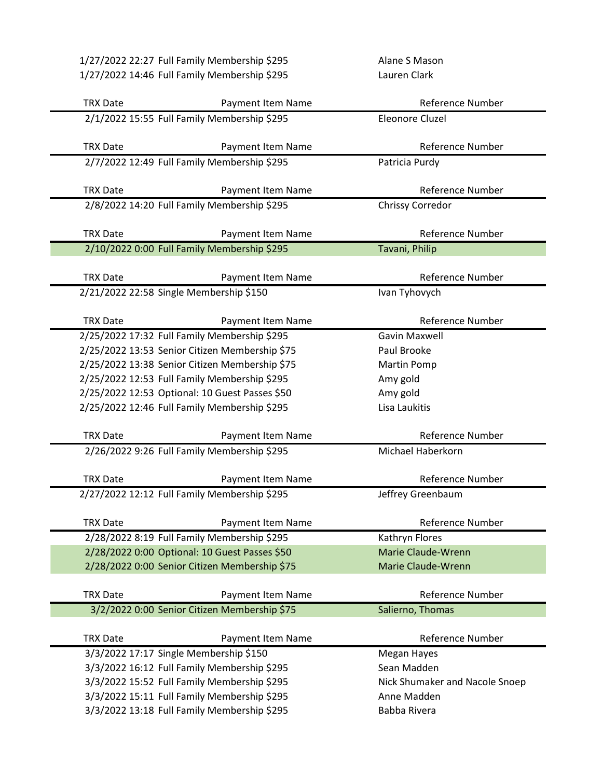1/27/2022 22:27 Full Family Membership \$295 Alane S Mason 1/27/2022 14:46 Full Family Membership \$295 Lauren Clark

| <b>TRX Date</b> | Payment Item Name                              | Reference Number               |
|-----------------|------------------------------------------------|--------------------------------|
|                 | 2/1/2022 15:55 Full Family Membership \$295    | Eleonore Cluzel                |
|                 |                                                |                                |
| <b>TRX Date</b> | Payment Item Name                              | Reference Number               |
|                 | 2/7/2022 12:49 Full Family Membership \$295    | Patricia Purdy                 |
| <b>TRX Date</b> | Payment Item Name                              | <b>Reference Number</b>        |
|                 | 2/8/2022 14:20 Full Family Membership \$295    | <b>Chrissy Corredor</b>        |
|                 |                                                |                                |
| <b>TRX Date</b> | Payment Item Name                              | <b>Reference Number</b>        |
|                 | 2/10/2022 0:00 Full Family Membership \$295    | Tavani, Philip                 |
|                 |                                                |                                |
| <b>TRX Date</b> | Payment Item Name                              | Reference Number               |
|                 | 2/21/2022 22:58 Single Membership \$150        | Ivan Tyhovych                  |
|                 |                                                |                                |
| <b>TRX Date</b> | Payment Item Name                              | <b>Reference Number</b>        |
|                 | 2/25/2022 17:32 Full Family Membership \$295   | <b>Gavin Maxwell</b>           |
|                 | 2/25/2022 13:53 Senior Citizen Membership \$75 | Paul Brooke                    |
|                 | 2/25/2022 13:38 Senior Citizen Membership \$75 | <b>Martin Pomp</b>             |
|                 | 2/25/2022 12:53 Full Family Membership \$295   | Amy gold                       |
|                 | 2/25/2022 12:53 Optional: 10 Guest Passes \$50 | Amy gold                       |
|                 | 2/25/2022 12:46 Full Family Membership \$295   | Lisa Laukitis                  |
|                 |                                                |                                |
| <b>TRX Date</b> | Payment Item Name                              | <b>Reference Number</b>        |
|                 | 2/26/2022 9:26 Full Family Membership \$295    | Michael Haberkorn              |
|                 |                                                |                                |
| <b>TRX Date</b> | Payment Item Name                              | <b>Reference Number</b>        |
|                 | 2/27/2022 12:12 Full Family Membership \$295   | Jeffrey Greenbaum              |
|                 |                                                |                                |
| <b>TRX Date</b> | Payment Item Name                              | <b>Reference Number</b>        |
|                 | 2/28/2022 8:19 Full Family Membership \$295    | Kathryn Flores                 |
|                 | 2/28/2022 0:00 Optional: 10 Guest Passes \$50  | <b>Marie Claude-Wrenn</b>      |
|                 | 2/28/2022 0:00 Senior Citizen Membership \$75  | <b>Marie Claude-Wrenn</b>      |
|                 |                                                |                                |
| <b>TRX Date</b> | Payment Item Name                              | Reference Number               |
|                 | 3/2/2022 0:00 Senior Citizen Membership \$75   | Salierno, Thomas               |
|                 |                                                |                                |
| <b>TRX Date</b> | Payment Item Name                              | Reference Number               |
|                 | 3/3/2022 17:17 Single Membership \$150         | Megan Hayes                    |
|                 | 3/3/2022 16:12 Full Family Membership \$295    | Sean Madden                    |
|                 | 3/3/2022 15:52 Full Family Membership \$295    | Nick Shumaker and Nacole Snoep |
|                 | 3/3/2022 15:11 Full Family Membership \$295    | Anne Madden                    |
|                 | 3/3/2022 13:18 Full Family Membership \$295    | Babba Rivera                   |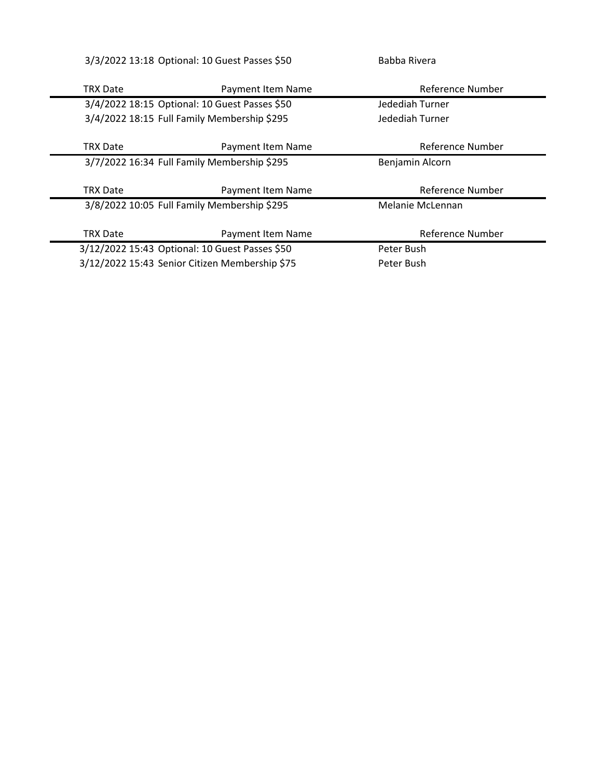3/3/2022 13:18 Optional: 10 Guest Passes \$50 Babba Rivera

| TRX Date                                      | Payment Item Name                              | Reference Number |  |
|-----------------------------------------------|------------------------------------------------|------------------|--|
| 3/4/2022 18:15 Optional: 10 Guest Passes \$50 |                                                | Jedediah Turner  |  |
|                                               | 3/4/2022 18:15 Full Family Membership \$295    | Jedediah Turner  |  |
| TRX Date                                      | Payment Item Name                              | Reference Number |  |
|                                               | 3/7/2022 16:34 Full Family Membership \$295    | Benjamin Alcorn  |  |
|                                               |                                                |                  |  |
|                                               |                                                |                  |  |
| <b>TRX Date</b>                               | Payment Item Name                              | Reference Number |  |
|                                               | 3/8/2022 10:05 Full Family Membership \$295    | Melanie McLennan |  |
|                                               |                                                |                  |  |
| <b>TRX Date</b>                               | Payment Item Name                              | Reference Number |  |
|                                               | 3/12/2022 15:43 Optional: 10 Guest Passes \$50 | Peter Bush       |  |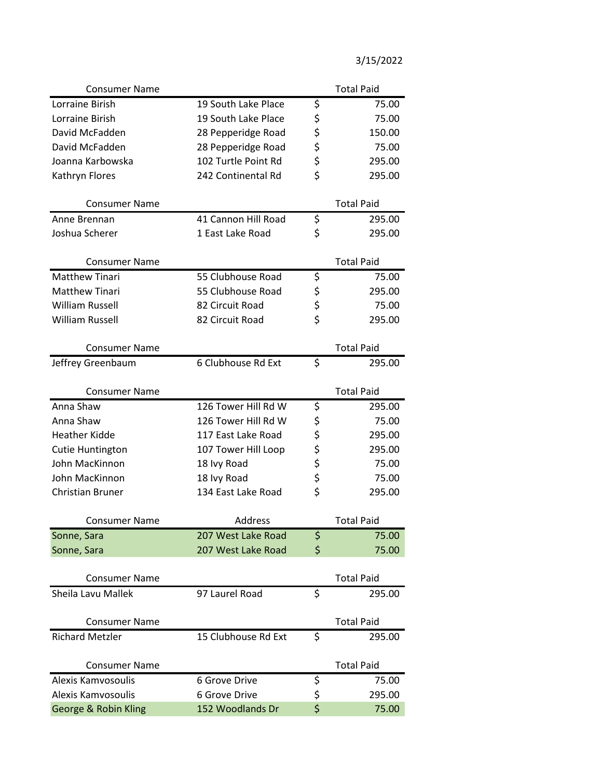3/15/2022

| <b>Consumer Name</b>                          |                     | <b>Total Paid</b> |
|-----------------------------------------------|---------------------|-------------------|
| Lorraine Birish                               | 19 South Lake Place | \$<br>75.00       |
| Lorraine Birish                               | 19 South Lake Place | \$<br>75.00       |
| David McFadden                                | 28 Pepperidge Road  | \$<br>150.00      |
| David McFadden                                | 28 Pepperidge Road  | \$<br>75.00       |
| Joanna Karbowska                              | 102 Turtle Point Rd | \$<br>295.00      |
| Kathryn Flores                                | 242 Continental Rd  | \$<br>295.00      |
| <b>Consumer Name</b>                          |                     | <b>Total Paid</b> |
| Anne Brennan                                  | 41 Cannon Hill Road | \$<br>295.00      |
| Joshua Scherer                                | 1 East Lake Road    | \$<br>295.00      |
|                                               |                     | <b>Total Paid</b> |
| <b>Consumer Name</b><br><b>Matthew Tinari</b> | 55 Clubhouse Road   | \$<br>75.00       |
| <b>Matthew Tinari</b>                         | 55 Clubhouse Road   | \$<br>295.00      |
| <b>William Russell</b>                        | 82 Circuit Road     | \$<br>75.00       |
| William Russell                               | 82 Circuit Road     | \$<br>295.00      |
|                                               |                     |                   |
| <b>Consumer Name</b>                          |                     | <b>Total Paid</b> |
| Jeffrey Greenbaum                             | 6 Clubhouse Rd Ext  | \$<br>295.00      |
| <b>Consumer Name</b>                          |                     | <b>Total Paid</b> |
| Anna Shaw                                     | 126 Tower Hill Rd W | \$<br>295.00      |
| Anna Shaw                                     | 126 Tower Hill Rd W | \$<br>75.00       |
| <b>Heather Kidde</b>                          | 117 East Lake Road  | \$<br>295.00      |
| Cutie Huntington                              | 107 Tower Hill Loop | \$<br>295.00      |
| John MacKinnon                                | 18 Ivy Road         | \$<br>75.00       |
| John MacKinnon                                | 18 Ivy Road         | \$<br>75.00       |
| <b>Christian Bruner</b>                       | 134 East Lake Road  | \$<br>295.00      |
| <b>Consumer Name</b>                          | Address             | <b>Total Paid</b> |
| Sonne, Sara                                   | 207 West Lake Road  | \$<br>75.00       |
| Sonne, Sara                                   | 207 West Lake Road  | \$<br>75.00       |
| <b>Consumer Name</b>                          |                     | <b>Total Paid</b> |
| Sheila Lavu Mallek                            | 97 Laurel Road      | \$<br>295.00      |
|                                               |                     |                   |
| <b>Consumer Name</b>                          |                     | <b>Total Paid</b> |
| <b>Richard Metzler</b>                        | 15 Clubhouse Rd Ext | \$<br>295.00      |
| <b>Consumer Name</b>                          |                     | <b>Total Paid</b> |
| Alexis Kamvosoulis                            | 6 Grove Drive       | \$<br>75.00       |
| Alexis Kamvosoulis                            | 6 Grove Drive       | \$<br>295.00      |
| <b>George &amp; Robin Kling</b>               | 152 Woodlands Dr    | \$<br>75.00       |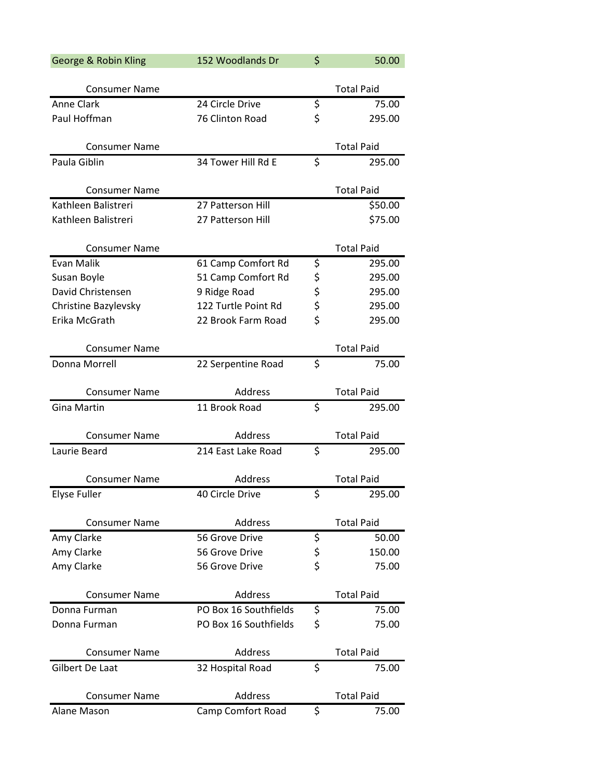| George & Robin Kling | 152 Woodlands Dr      | \$       | 50.00             |
|----------------------|-----------------------|----------|-------------------|
|                      |                       |          |                   |
| <b>Consumer Name</b> |                       |          | <b>Total Paid</b> |
| Anne Clark           | 24 Circle Drive       | \$       | 75.00             |
| Paul Hoffman         | 76 Clinton Road       | \$       | 295.00            |
| <b>Consumer Name</b> |                       |          | <b>Total Paid</b> |
| Paula Giblin         | 34 Tower Hill Rd E    | \$       | 295.00            |
| <b>Consumer Name</b> |                       |          | <b>Total Paid</b> |
| Kathleen Balistreri  | 27 Patterson Hill     |          | \$50.00           |
| Kathleen Balistreri  | 27 Patterson Hill     |          | \$75.00           |
| <b>Consumer Name</b> |                       |          | <b>Total Paid</b> |
| Evan Malik           | 61 Camp Comfort Rd    | \$       | 295.00            |
| Susan Boyle          | 51 Camp Comfort Rd    |          | 295.00            |
| David Christensen    | 9 Ridge Road          | \$<br>\$ | 295.00            |
| Christine Bazylevsky | 122 Turtle Point Rd   |          | 295.00            |
| Erika McGrath        | 22 Brook Farm Road    | \$<br>\$ | 295.00            |
| <b>Consumer Name</b> |                       |          | <b>Total Paid</b> |
| Donna Morrell        |                       | \$       | 75.00             |
|                      | 22 Serpentine Road    |          |                   |
| <b>Consumer Name</b> | Address               |          | <b>Total Paid</b> |
| <b>Gina Martin</b>   | 11 Brook Road         | \$       | 295.00            |
| <b>Consumer Name</b> | Address               |          | <b>Total Paid</b> |
| Laurie Beard         | 214 East Lake Road    | \$       | 295.00            |
| <b>Consumer Name</b> | Address               |          | <b>Total Paid</b> |
| Elyse Fuller         | 40 Circle Drive       | \$       | 295.00            |
| <b>Consumer Name</b> | Address               |          | <b>Total Paid</b> |
| Amy Clarke           | 56 Grove Drive        | \$       | 50.00             |
| Amy Clarke           | 56 Grove Drive        | \$       | 150.00            |
| Amy Clarke           | 56 Grove Drive        | \$       | 75.00             |
| <b>Consumer Name</b> | Address               |          | <b>Total Paid</b> |
| Donna Furman         | PO Box 16 Southfields | \$       | 75.00             |
| Donna Furman         | PO Box 16 Southfields | \$       | 75.00             |
| <b>Consumer Name</b> | Address               |          | <b>Total Paid</b> |
| Gilbert De Laat      | 32 Hospital Road      | \$       | 75.00             |
| <b>Consumer Name</b> | Address               |          | <b>Total Paid</b> |
| Alane Mason          | Camp Comfort Road     | \$       | 75.00             |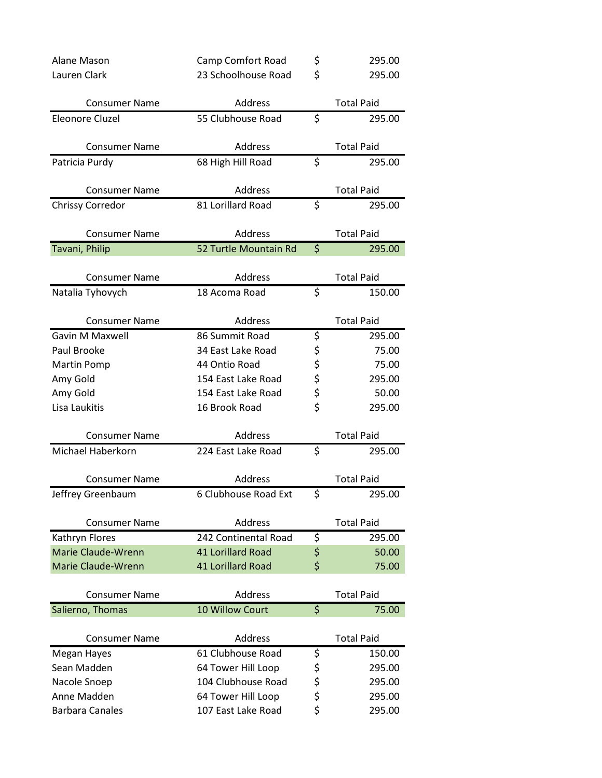| Alane Mason               | Camp Comfort Road        | \$       | 295.00            |
|---------------------------|--------------------------|----------|-------------------|
| Lauren Clark              | 23 Schoolhouse Road      | \$       | 295.00            |
|                           |                          |          |                   |
| <b>Consumer Name</b>      | Address                  |          | <b>Total Paid</b> |
| Eleonore Cluzel           | 55 Clubhouse Road        | \$       | 295.00            |
| <b>Consumer Name</b>      | Address                  |          | <b>Total Paid</b> |
| Patricia Purdy            | 68 High Hill Road        | \$       | 295.00            |
| <b>Consumer Name</b>      | Address                  |          | <b>Total Paid</b> |
| <b>Chrissy Corredor</b>   | 81 Lorillard Road        | \$       | 295.00            |
| <b>Consumer Name</b>      | Address                  |          | <b>Total Paid</b> |
| Tavani, Philip            | 52 Turtle Mountain Rd    | \$       | 295.00            |
|                           |                          |          |                   |
| <b>Consumer Name</b>      | <b>Address</b>           |          | <b>Total Paid</b> |
| Natalia Tyhovych          | 18 Acoma Road            | \$       | 150.00            |
| <b>Consumer Name</b>      | <b>Address</b>           |          | <b>Total Paid</b> |
| Gavin M Maxwell           | 86 Summit Road           | \$       | 295.00            |
| Paul Brooke               | 34 East Lake Road        | \$       | 75.00             |
| Martin Pomp               | 44 Ontio Road            |          | 75.00             |
| Amy Gold                  | 154 East Lake Road       | \$\$\$\$ | 295.00            |
| Amy Gold                  | 154 East Lake Road       |          | 50.00             |
| Lisa Laukitis             | 16 Brook Road            |          | 295.00            |
|                           |                          |          |                   |
| <b>Consumer Name</b>      | Address                  |          | <b>Total Paid</b> |
| Michael Haberkorn         | 224 East Lake Road       | \$       | 295.00            |
| <b>Consumer Name</b>      | Address                  |          | <b>Total Paid</b> |
| Jeffrey Greenbaum         | 6 Clubhouse Road Ext     | \$       | 295.00            |
| <b>Consumer Name</b>      | <b>Address</b>           |          | <b>Total Paid</b> |
| Kathryn Flores            | 242 Continental Road     | \$       | 295.00            |
| <b>Marie Claude-Wrenn</b> | <b>41 Lorillard Road</b> | \$       | 50.00             |
| Marie Claude-Wrenn        | 41 Lorillard Road        | \$       | 75.00             |
| <b>Consumer Name</b>      | <b>Address</b>           |          | <b>Total Paid</b> |
| Salierno, Thomas          | 10 Willow Court          | \$       | 75.00             |
| <b>Consumer Name</b>      | Address                  |          | <b>Total Paid</b> |
| Megan Hayes               | 61 Clubhouse Road        | \$       | 150.00            |
| Sean Madden               | 64 Tower Hill Loop       |          | 295.00            |
| Nacole Snoep              | 104 Clubhouse Road       |          | 295.00            |
| Anne Madden               | 64 Tower Hill Loop       | \$\$\$\$ | 295.00            |
| <b>Barbara Canales</b>    | 107 East Lake Road       |          | 295.00            |
|                           |                          |          |                   |